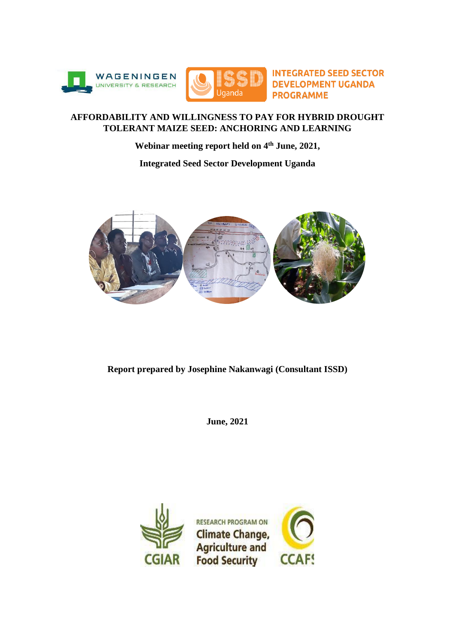



**INTEGRATED SEED SECTOR DEVELOPMENT UGANDA PROGRAMME** 

## **AFFORDABILITY AND WILLINGNESS TO PAY FOR HYBRID DROUGHT TOLERANT MAIZE SEED: ANCHORING AND LEARNING**

**Webinar meeting report held on 4th June, 2021,** 

**Integrated Seed Sector Development Uganda**



**Report prepared by Josephine Nakanwagi (Consultant ISSD)**

**June, 2021** 

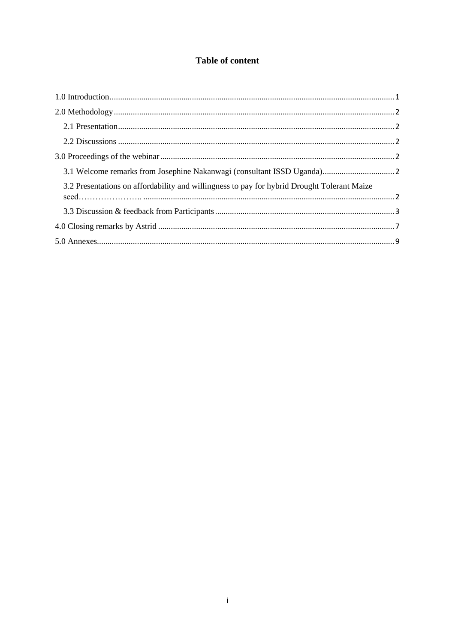# **Table of content**

| 3.2 Presentations on affordability and willingness to pay for hybrid Drought Tolerant Maize |  |
|---------------------------------------------------------------------------------------------|--|
|                                                                                             |  |
|                                                                                             |  |
|                                                                                             |  |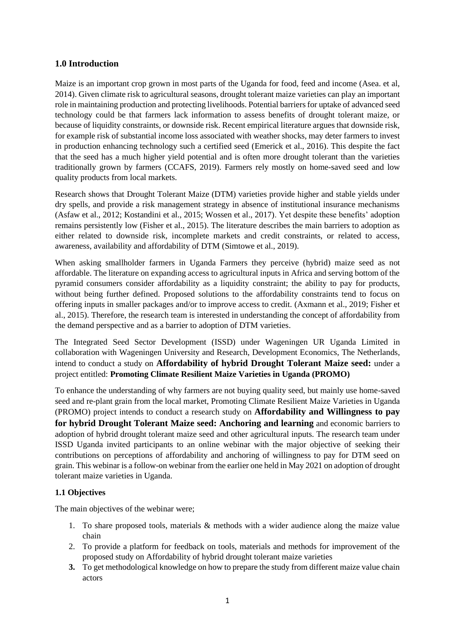## <span id="page-2-0"></span>**1.0 Introduction**

Maize is an important crop grown in most parts of the Uganda for food, feed and income (Asea. et al, 2014). Given climate risk to agricultural seasons, drought tolerant maize varieties can play an important role in maintaining production and protecting livelihoods. Potential barriers for uptake of advanced seed technology could be that farmers lack information to assess benefits of drought tolerant maize, or because of liquidity constraints, or downside risk. Recent empirical literature argues that downside risk, for example risk of substantial income loss associated with weather shocks, may deter farmers to invest in production enhancing technology such a certified seed (Emerick et al., 2016). This despite the fact that the seed has a much higher yield potential and is often more drought tolerant than the varieties traditionally grown by farmers (CCAFS, 2019). Farmers rely mostly on home-saved seed and low quality products from local markets.

Research shows that Drought Tolerant Maize (DTM) varieties provide higher and stable yields under dry spells, and provide a risk management strategy in absence of institutional insurance mechanisms (Asfaw et al., 2012; Kostandini et al., 2015; Wossen et al., 2017). Yet despite these benefits' adoption remains persistently low (Fisher et al., 2015). The literature describes the main barriers to adoption as either related to downside risk, incomplete markets and credit constraints, or related to access, awareness, availability and affordability of DTM (Simtowe et al., 2019).

When asking smallholder farmers in Uganda Farmers they perceive (hybrid) maize seed as not affordable. The literature on expanding access to agricultural inputs in Africa and serving bottom of the pyramid consumers consider affordability as a liquidity constraint; the ability to pay for products, without being further defined. Proposed solutions to the affordability constraints tend to focus on offering inputs in smaller packages and/or to improve access to credit. (Axmann et al., 2019; Fisher et al., 2015). Therefore, the research team is interested in understanding the concept of affordability from the demand perspective and as a barrier to adoption of DTM varieties.

The Integrated Seed Sector Development (ISSD) under Wageningen UR Uganda Limited in collaboration with Wageningen University and Research, Development Economics, The Netherlands, intend to conduct a study on **Affordability of hybrid Drought Tolerant Maize seed:** under a project entitled: **Promoting Climate Resilient Maize Varieties in Uganda (PROMO)**

To enhance the understanding of why farmers are not buying quality seed, but mainly use home-saved seed and re-plant grain from the local market, Promoting Climate Resilient Maize Varieties in Uganda (PROMO) project intends to conduct a research study on **Affordability and Willingness to pay for hybrid Drought Tolerant Maize seed: Anchoring and learning** and economic barriers to adoption of hybrid drought tolerant maize seed and other agricultural inputs. The research team under ISSD Uganda invited participants to an online webinar with the major objective of seeking their contributions on perceptions of affordability and anchoring of willingness to pay for DTM seed on grain. This webinar is a follow-on webinar from the earlier one held in May 2021 on adoption of drought tolerant maize varieties in Uganda.

## **1.1 Objectives**

The main objectives of the webinar were;

- 1. To share proposed tools, materials & methods with a wider audience along the maize value chain
- 2. To provide a platform for feedback on tools, materials and methods for improvement of the proposed study on Affordability of hybrid drought tolerant maize varieties
- **3.** To get methodological knowledge on how to prepare the study from different maize value chain actors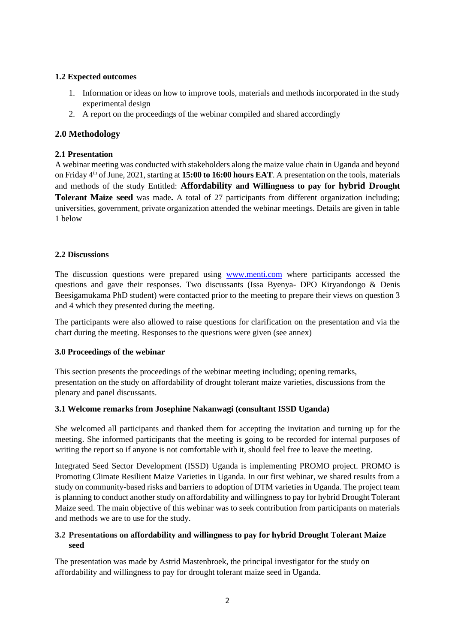## **1.2 Expected outcomes**

- 1. Information or ideas on how to improve tools, materials and methods incorporated in the study experimental design
- 2. A report on the proceedings of the webinar compiled and shared accordingly

## <span id="page-3-0"></span>**2.0 Methodology**

### <span id="page-3-1"></span>**2.1 Presentation**

A webinar meeting was conducted with stakeholders along the maize value chain in Uganda and beyond on Friday 4 th of June, 2021, starting at **15:00 to 16:00 hours EAT**. A presentation on the tools, materials and methods of the study Entitled: **Affordability and Willingness to pay for hybrid Drought Tolerant Maize seed** was made**.** A total of 27 participants from different organization including; universities, government, private organization attended the webinar meetings. Details are given in table 1 below

### <span id="page-3-2"></span>**2.2 Discussions**

The discussion questions were prepared using [www.menti.com](http://www.menti.com/) where participants accessed the questions and gave their responses. Two discussants (Issa Byenya- DPO Kiryandongo & Denis Beesigamukama PhD student) were contacted prior to the meeting to prepare their views on question 3 and 4 which they presented during the meeting.

The participants were also allowed to raise questions for clarification on the presentation and via the chart during the meeting. Responses to the questions were given (see annex)

#### <span id="page-3-3"></span>**3.0 Proceedings of the webinar**

This section presents the proceedings of the webinar meeting including; opening remarks, presentation on the study on affordability of drought tolerant maize varieties, discussions from the plenary and panel discussants.

#### <span id="page-3-4"></span>**3.1 Welcome remarks from Josephine Nakanwagi (consultant ISSD Uganda)**

She welcomed all participants and thanked them for accepting the invitation and turning up for the meeting. She informed participants that the meeting is going to be recorded for internal purposes of writing the report so if anyone is not comfortable with it, should feel free to leave the meeting.

Integrated Seed Sector Development (ISSD) Uganda is implementing PROMO project. PROMO is Promoting Climate Resilient Maize Varieties in Uganda. In our first webinar, we shared results from a study on community-based risks and barriers to adoption of DTM varieties in Uganda. The project team is planning to conduct another study on affordability and willingness to pay for hybrid Drought Tolerant Maize seed. The main objective of this webinar was to seek contribution from participants on materials and methods we are to use for the study.

## <span id="page-3-5"></span>**3.2 Presentations on affordability and willingness to pay for hybrid Drought Tolerant Maize seed**

The presentation was made by Astrid Mastenbroek, the principal investigator for the study on affordability and willingness to pay for drought tolerant maize seed in Uganda.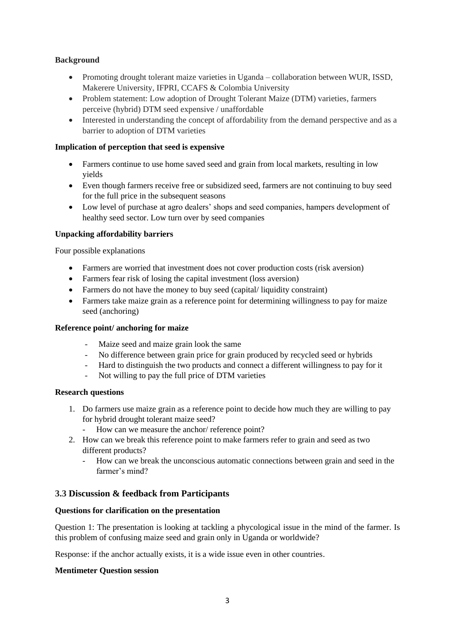## **Background**

- Promoting drought tolerant maize varieties in Uganda collaboration between WUR, ISSD, Makerere University, IFPRI, CCAFS & Colombia University
- Problem statement: Low adoption of Drought Tolerant Maize (DTM) varieties, farmers perceive (hybrid) DTM seed expensive / unaffordable
- Interested in understanding the concept of affordability from the demand perspective and as a barrier to adoption of DTM varieties

### **Implication of perception that seed is expensive**

- Farmers continue to use home saved seed and grain from local markets, resulting in low yields
- Even though farmers receive free or subsidized seed, farmers are not continuing to buy seed for the full price in the subsequent seasons
- Low level of purchase at agro dealers' shops and seed companies, hampers development of healthy seed sector. Low turn over by seed companies

### **Unpacking affordability barriers**

Four possible explanations

- Farmers are worried that investment does not cover production costs (risk aversion)
- Farmers fear risk of losing the capital investment (loss aversion)
- Farmers do not have the money to buy seed (capital/ liquidity constraint)
- Farmers take maize grain as a reference point for determining willingness to pay for maize seed (anchoring)

#### **Reference point/ anchoring for maize**

- Maize seed and maize grain look the same
- No difference between grain price for grain produced by recycled seed or hybrids
- Hard to distinguish the two products and connect a different willingness to pay for it
- Not willing to pay the full price of DTM varieties

#### **Research questions**

- 1. Do farmers use maize grain as a reference point to decide how much they are willing to pay for hybrid drought tolerant maize seed?
	- How can we measure the anchor/ reference point?
- 2. How can we break this reference point to make farmers refer to grain and seed as two different products?
	- How can we break the unconscious automatic connections between grain and seed in the farmer's mind?

## <span id="page-4-0"></span>**3.3 Discussion & feedback from Participants**

#### **Questions for clarification on the presentation**

Question 1: The presentation is looking at tackling a phycological issue in the mind of the farmer. Is this problem of confusing maize seed and grain only in Uganda or worldwide?

Response: if the anchor actually exists, it is a wide issue even in other countries.

#### **Mentimeter Question session**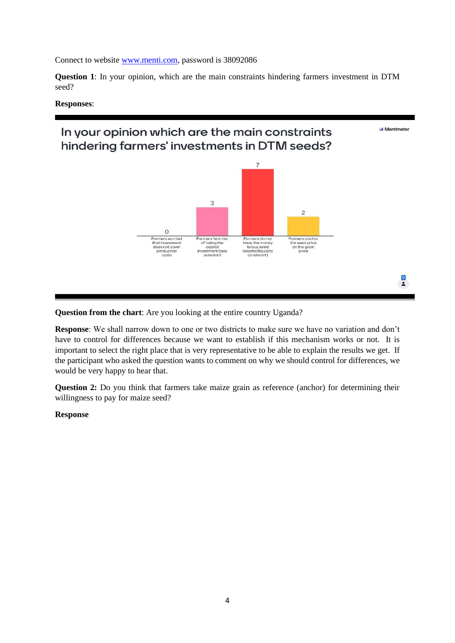Connect to website [www.menti.com,](http://www.menti.com/) password is 38092086

**Question 1**: In your opinion, which are the main constraints hindering farmers investment in DTM seed?

#### **Responses**:

# In your opinion which are the main constraints hindering farmers' investments in DTM seeds?



**I** Mentimeter

 $\frac{1}{2}$ 

**Question from the chart**: Are you looking at the entire country Uganda?

**Response**: We shall narrow down to one or two districts to make sure we have no variation and don't have to control for differences because we want to establish if this mechanism works or not. It is important to select the right place that is very representative to be able to explain the results we get. If the participant who asked the question wants to comment on why we should control for differences, we would be very happy to hear that.

**Question 2:** Do you think that farmers take maize grain as reference (anchor) for determining their willingness to pay for maize seed?

#### **Response**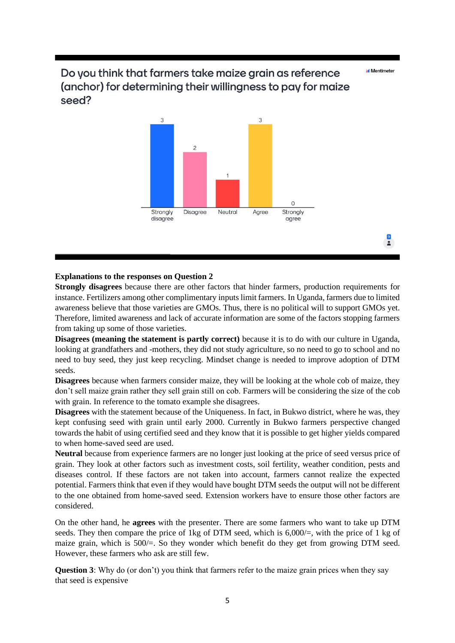Mentimeter

 $\frac{1}{2}$ 

# Do you think that farmers take maize grain as reference (anchor) for determining their willingness to pay for maize seed?



#### **Explanations to the responses on Question 2**

**Strongly disagrees** because there are other factors that hinder farmers, production requirements for instance. Fertilizers among other complimentary inputs limit farmers. In Uganda, farmers due to limited awareness believe that those varieties are GMOs. Thus, there is no political will to support GMOs yet. Therefore, limited awareness and lack of accurate information are some of the factors stopping farmers from taking up some of those varieties.

**Disagrees (meaning the statement is partly correct)** because it is to do with our culture in Uganda, looking at grandfathers and -mothers, they did not study agriculture, so no need to go to school and no need to buy seed, they just keep recycling. Mindset change is needed to improve adoption of DTM seeds.

**Disagrees** because when farmers consider maize, they will be looking at the whole cob of maize, they don't sell maize grain rather they sell grain still on cob. Farmers will be considering the size of the cob with grain. In reference to the tomato example she disagrees.

**Disagrees** with the statement because of the Uniqueness. In fact, in Bukwo district, where he was, they kept confusing seed with grain until early 2000. Currently in Bukwo farmers perspective changed towards the habit of using certified seed and they know that it is possible to get higher yields compared to when home-saved seed are used.

**Neutral** because from experience farmers are no longer just looking at the price of seed versus price of grain. They look at other factors such as investment costs, soil fertility, weather condition, pests and diseases control. If these factors are not taken into account, farmers cannot realize the expected potential. Farmers think that even if they would have bought DTM seeds the output will not be different to the one obtained from home-saved seed. Extension workers have to ensure those other factors are considered.

On the other hand, he **agrees** with the presenter. There are some farmers who want to take up DTM seeds. They then compare the price of 1 kg of DTM seed, which is  $6,000/=$ , with the price of 1 kg of maize grain, which is 500/=. So they wonder which benefit do they get from growing DTM seed. However, these farmers who ask are still few.

**Question 3**: Why do (or don't) you think that farmers refer to the maize grain prices when they say that seed is expensive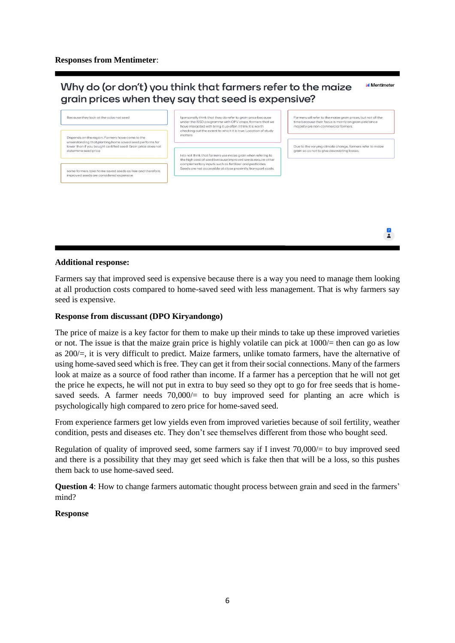#### Why do (or don't) you think that farmers refer to the maize **Mantimeter** grain prices when they say that seed is expensive?



#### **Additional response:**

Farmers say that improved seed is expensive because there is a way you need to manage them looking at all production costs compared to home-saved seed with less management. That is why farmers say seed is expensive.

#### **Response from discussant (DPO Kiryandongo)**

The price of maize is a key factor for them to make up their minds to take up these improved varieties or not. The issue is that the maize grain price is highly volatile can pick at  $1000/=$  then can go as low as 200/=, it is very difficult to predict. Maize farmers, unlike tomato farmers, have the alternative of using home-saved seed which is free. They can get it from their social connections. Many of the farmers look at maize as a source of food rather than income. If a farmer has a perception that he will not get the price he expects, he will not put in extra to buy seed so they opt to go for free seeds that is homesaved seeds. A farmer needs  $70,000/=$  to buy improved seed for planting an acre which is psychologically high compared to zero price for home-saved seed.

From experience farmers get low yields even from improved varieties because of soil fertility, weather condition, pests and diseases etc. They don't see themselves different from those who bought seed.

Regulation of quality of improved seed, some farmers say if I invest 70,000/= to buy improved seed and there is a possibility that they may get seed which is fake then that will be a loss, so this pushes them back to use home-saved seed.

**Question 4**: How to change farmers automatic thought process between grain and seed in the farmers' mind?

#### **Response**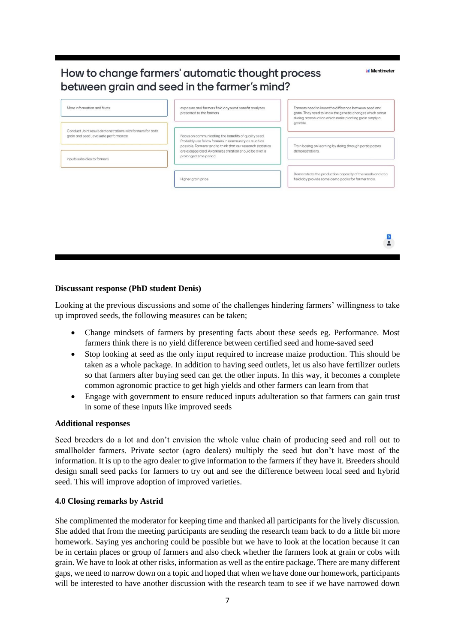# How to change farmers' automatic thought process between grain and seed in the farmer's mind?

exposure and farmers field dayscost benefit analyses More information and facts Farmers need to know the difference between seed and grain. They need to know the greetic changes which occur<br>during reproduction which make planting grain simply a presented to the formers gamble Conduct Joint result demonstrations with farmers for both arain and seed, evaluate performance Focus on communicating the benefits of quality seed. Probably use fellow farmers in community as much as<br>possible. Farmers tend to think that our research statistics Train basing on learning by doing through participatory are exaggerated. Awareness creation should be over a demonstrations. prolonged time period inputs subsidies to farmers monstrate the production capacity of the seeds and at a Higher grain price field day provide some demo packs for farmer trials

Mentimeter

 $\frac{1}{\sqrt{2}}$ 

**Discussant response (PhD student Denis)**

Looking at the previous discussions and some of the challenges hindering farmers' willingness to take up improved seeds, the following measures can be taken;

- Change mindsets of farmers by presenting facts about these seeds eg. Performance. Most farmers think there is no yield difference between certified seed and home-saved seed
- Stop looking at seed as the only input required to increase maize production. This should be taken as a whole package. In addition to having seed outlets, let us also have fertilizer outlets so that farmers after buying seed can get the other inputs. In this way, it becomes a complete common agronomic practice to get high yields and other farmers can learn from that
- Engage with government to ensure reduced inputs adulteration so that farmers can gain trust in some of these inputs like improved seeds

#### **Additional responses**

Seed breeders do a lot and don't envision the whole value chain of producing seed and roll out to smallholder farmers. Private sector (agro dealers) multiply the seed but don't have most of the information. It is up to the agro dealer to give information to the farmers if they have it. Breeders should design small seed packs for farmers to try out and see the difference between local seed and hybrid seed. This will improve adoption of improved varieties.

#### <span id="page-8-0"></span>**4.0 Closing remarks by Astrid**

She complimented the moderator for keeping time and thanked all participants for the lively discussion. She added that from the meeting participants are sending the research team back to do a little bit more homework. Saying yes anchoring could be possible but we have to look at the location because it can be in certain places or group of farmers and also check whether the farmers look at grain or cobs with grain. We have to look at other risks, information as well as the entire package. There are many different gaps, we need to narrow down on a topic and hoped that when we have done our homework, participants will be interested to have another discussion with the research team to see if we have narrowed down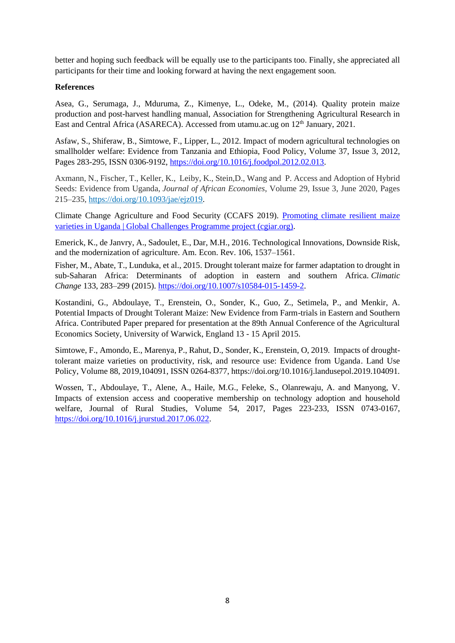better and hoping such feedback will be equally use to the participants too. Finally, she appreciated all participants for their time and looking forward at having the next engagement soon.

### **References**

Asea, G., Serumaga, J., Mduruma, Z., Kimenye, L., Odeke, M., (2014). Quality protein maize production and post-harvest handling manual, Association for Strengthening Agricultural Research in East and Central Africa (ASARECA). Accessed from utamu.ac.ug on 12<sup>th</sup> January, 2021.

Asfaw, S., Shiferaw, B., Simtowe, F., Lipper, L., 2012. Impact of modern agricultural technologies on smallholder welfare: Evidence from Tanzania and Ethiopia, Food Policy, Volume 37, Issue 3, 2012, Pages 283-295, ISSN 0306-9192, [https://doi.org/10.1016/j.foodpol.2012.02.013.](https://doi.org/10.1016/j.foodpol.2012.02.013)

Axmann, N., Fischer, T., Keller, K., Leiby, K., Stein,D., Wang and P. Access and Adoption of Hybrid Seeds: Evidence from Uganda, *Journal of African Economies*, Volume 29, Issue 3, June 2020, Pages 215–235, [https://doi.org/10.1093/jae/ejz019.](https://doi.org/10.1093/jae/ejz019)

Climate Change Agriculture and Food Security (CCAFS 2019). [Promoting climate resilient maize](https://ccafs.cgiar.org/research/projects/promoting-climate-resilient-maize-varieties-uganda-global-challenges-programme-project)  [varieties in Uganda | Global Challenges Programme project \(cgiar.org\).](https://ccafs.cgiar.org/research/projects/promoting-climate-resilient-maize-varieties-uganda-global-challenges-programme-project)

Emerick, K., de Janvry, A., Sadoulet, E., Dar, M.H., 2016. Technological Innovations, Downside Risk, and the modernization of agriculture. Am. Econ. Rev. 106, 1537–1561.

Fisher, M., Abate, T., Lunduka, et al., 2015. Drought tolerant maize for farmer adaptation to drought in sub-Saharan Africa: Determinants of adoption in eastern and southern Africa. *Climatic Change* 133, 283–299 (2015). [https://doi.org/10.1007/s10584-015-1459-2.](https://doi.org/10.1007/s10584-015-1459-2)

Kostandini, G., Abdoulaye, T., Erenstein, O., Sonder, K., Guo, Z., Setimela, P., and Menkir, A. Potential Impacts of Drought Tolerant Maize: New Evidence from Farm-trials in Eastern and Southern Africa. Contributed Paper prepared for presentation at the 89th Annual Conference of the Agricultural Economics Society, University of Warwick, England 13 - 15 April 2015.

Simtowe, F., Amondo, E., Marenya, P., Rahut, D., Sonder, K., Erenstein, O, 2019. Impacts of droughttolerant maize varieties on productivity, risk, and resource use: Evidence from Uganda. Land Use Policy, Volume 88, 2019,104091, ISSN 0264-8377, https://doi.org/10.1016/j.landusepol.2019.104091.

<span id="page-9-0"></span>Wossen, T., Abdoulaye, T., Alene, A., Haile, M.G., Feleke, S., Olanrewaju, A. and Manyong, V. Impacts of extension access and cooperative membership on technology adoption and household welfare, Journal of Rural Studies, Volume 54, 2017, Pages 223-233, ISSN 0743-0167, [https://doi.org/10.1016/j.jrurstud.2017.06.022.](https://doi.org/10.1016/j.jrurstud.2017.06.022)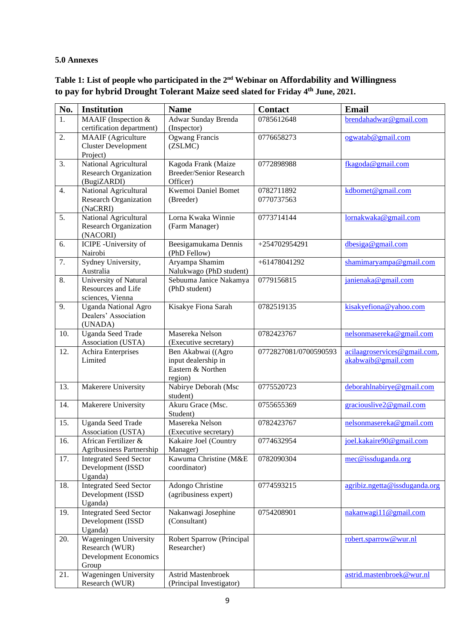### **5.0 Annexes**

| Table 1: List of people who participated in the $2nd$ Webinar on Affordability and Willingness |
|------------------------------------------------------------------------------------------------|
| to pay for hybrid Drought Tolerant Maize seed slated for Friday 4th June, 2021.                |

| No. | <b>Institution</b>                                                                      | <b>Name</b>                                                               | <b>Contact</b>           | Email                                              |
|-----|-----------------------------------------------------------------------------------------|---------------------------------------------------------------------------|--------------------------|----------------------------------------------------|
| 1.  | MAAIF (Inspection &<br>certification department)                                        | Adwar Sunday Brenda<br>(Inspector)                                        | 0785612648               | brendahadwar@gmail.com                             |
| 2.  | <b>MAAIF</b> (Agriculture<br><b>Cluster Development</b><br>Project)                     | Ogwang Francis<br>(ZSLMC)                                                 | 0776658273               | ogwatab@gmail.com                                  |
| 3.  | National Agricultural<br><b>Research Organization</b><br>(BugiZARDI)                    | Kagoda Frank (Maize<br><b>Breeder/Senior Research</b><br>Officer)         | 0772898988               | fkagoda@gmail.com                                  |
| 4.  | National Agricultural<br><b>Research Organization</b><br>(NaCRRI)                       | Kwemoi Daniel Bomet<br>(Breeder)                                          | 0782711892<br>0770737563 | kdbomet@gmail.com                                  |
| 5.  | National Agricultural<br><b>Research Organization</b><br>(NACORI)                       | Lorna Kwaka Winnie<br>(Farm Manager)                                      | 0773714144               | lornakwaka@gmail.com                               |
| 6.  | ICIPE - University of<br>Nairobi                                                        | Beesigamukama Dennis<br>(PhD Fellow)                                      | +254702954291            | dbesiga@gmail.com                                  |
| 7.  | Sydney University,<br>Australia                                                         | Aryampa Shamim<br>Nalukwago (PhD student)                                 | +61478041292             | shamimaryampa@gmail.com                            |
| 8.  | University of Natural<br>Resources and Life<br>sciences, Vienna                         | Sebuuma Janice Nakamya<br>(PhD student)                                   | 0779156815               | janienaka@gmail.com                                |
| 9.  | <b>Uganda National Agro</b><br>Dealers' Association<br>(UNADA)                          | Kisakye Fiona Sarah                                                       | 0782519135               | kisakyefiona@yahoo.com                             |
| 10. | <b>Uganda Seed Trade</b><br>Association (USTA)                                          | Masereka Nelson<br>(Executive secretary)                                  | 0782423767               | nelsonmasereka@gmail.com                           |
| 12. | Achira Enterprises<br>Limited                                                           | Ben Akabwai ((Agro<br>input dealership in<br>Eastern & Northen<br>region) | 0772827081/0700590593    | acilaagroservices@gmail.com,<br>akabwaib@gmail.com |
| 13. | Makerere University                                                                     | Nabirye Deborah (Msc<br>student)                                          | 0775520723               | deborahlnabirye@gmail.com                          |
| 14. | Makerere University                                                                     | Akuru Grace (Msc.<br>Student)                                             | 0755655369               | graciouslive2@gmail.com                            |
| 15. | <b>Uganda Seed Trade</b><br>Association (USTA)                                          | Masereka Nelson<br>(Executive secretary)                                  | 0782423767               | nelsonmasereka@gmail.com                           |
| 16. | African Fertilizer &<br>Agribusiness Partnership                                        | Kakaire Joel (Country<br>Manager)                                         | 0774632954               | joel.kakaire90@gmail.com                           |
| 17. | <b>Integrated Seed Sector</b><br>Development (ISSD<br>Uganda)                           | Kawuma Christine (M&E<br>coordinator)                                     | 0782090304               | mec@issduganda.org                                 |
| 18. | <b>Integrated Seed Sector</b><br>Development (ISSD<br>Uganda)                           | Adongo Christine<br>(agribusiness expert)                                 | 0774593215               | agribiz.ngetta@issduganda.org                      |
| 19. | <b>Integrated Seed Sector</b><br>Development (ISSD<br>Uganda)                           | Nakanwagi Josephine<br>(Consultant)                                       | 0754208901               | nakanwagi11@gmail.com                              |
| 20. | <b>Wageningen University</b><br>Research (WUR)<br><b>Development Economics</b><br>Group | Robert Sparrow (Principal<br>Researcher)                                  |                          | robert.sparrow@wur.nl                              |
| 21. | Wageningen University<br>Research (WUR)                                                 | <b>Astrid Mastenbroek</b><br>(Principal Investigator)                     |                          | astrid.mastenbroek@wur.nl                          |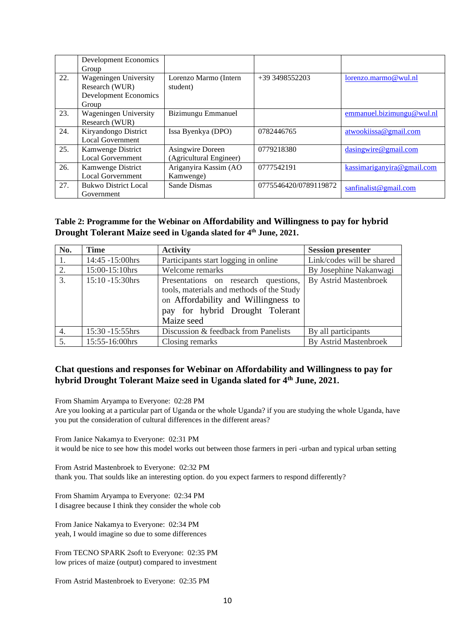|     | <b>Development Economics</b> |                         |                       |                            |
|-----|------------------------------|-------------------------|-----------------------|----------------------------|
|     | Group                        |                         |                       |                            |
| 22. | Wageningen University        | Lorenzo Marmo (Intern   | +39 3498552203        | lorenzo.marmo@wul.nl       |
|     | Research (WUR)               | student)                |                       |                            |
|     | <b>Development Economics</b> |                         |                       |                            |
|     | Group                        |                         |                       |                            |
| 23. | Wageningen University        | Bizimungu Emmanuel      |                       | emmanuel.bizimungu@wul.nl  |
|     | Research (WUR)               |                         |                       |                            |
| 24. | Kiryandongo District         | Issa Byenkya (DPO)      | 0782446765            | atwookiissa@gmail.com      |
|     | <b>Local Government</b>      |                         |                       |                            |
| 25. | Kamwenge District            | Asingwire Doreen        | 0779218380            | dasingwire @ gmail.com     |
|     | <b>Local Gorvernment</b>     | (Agricultural Engineer) |                       |                            |
| 26. | Kamwenge District            | Ariganyira Kassim (AO   | 0777542191            | kassimariganyira@gmail.com |
|     | <b>Local Gorvernment</b>     | Kamwenge)               |                       |                            |
| 27. | <b>Bukwo District Local</b>  | Sande Dismas            | 0775546420/0789119872 | santinalist@gmail.com      |
|     | Government                   |                         |                       |                            |

## **Table 2: Programme for the Webinar on Affordability and Willingness to pay for hybrid Drought Tolerant Maize seed in Uganda slated for 4th June, 2021.**

| No. | <b>Time</b>     | <b>Activity</b>                                                                                                                                                           | <b>Session presenter</b>  |
|-----|-----------------|---------------------------------------------------------------------------------------------------------------------------------------------------------------------------|---------------------------|
|     | 14:45 -15:00hrs | Participants start logging in online                                                                                                                                      | Link/codes will be shared |
| 2.  | 15:00-15:10hrs  | Welcome remarks                                                                                                                                                           | By Josephine Nakanwagi    |
| 3.  | 15:10 -15:30hrs | Presentations on research questions,<br>tools, materials and methods of the Study<br>on Affordability and Willingness to<br>pay for hybrid Drought Tolerant<br>Maize seed | By Astrid Mastenbroek     |
| 4.  | 15:30 -15:55hrs | Discussion & feedback from Panelists                                                                                                                                      | By all participants       |
| 5.  | 15:55-16:00hrs  | Closing remarks                                                                                                                                                           | By Astrid Mastenbroek     |

## **Chat questions and responses for Webinar on Affordability and Willingness to pay for hybrid Drought Tolerant Maize seed in Uganda slated for 4th June, 2021.**

From Shamim Aryampa to Everyone: 02:28 PM

Are you looking at a particular part of Uganda or the whole Uganda? if you are studying the whole Uganda, have you put the consideration of cultural differences in the different areas?

From Janice Nakamya to Everyone: 02:31 PM it would be nice to see how this model works out between those farmers in peri -urban and typical urban setting

From Astrid Mastenbroek to Everyone: 02:32 PM thank you. That soulds like an interesting option. do you expect farmers to respond differently?

From Shamim Aryampa to Everyone: 02:34 PM I disagree because I think they consider the whole cob

From Janice Nakamya to Everyone: 02:34 PM yeah, I would imagine so due to some differences

From TECNO SPARK 2soft to Everyone: 02:35 PM low prices of maize (output) compared to investment

From Astrid Mastenbroek to Everyone: 02:35 PM